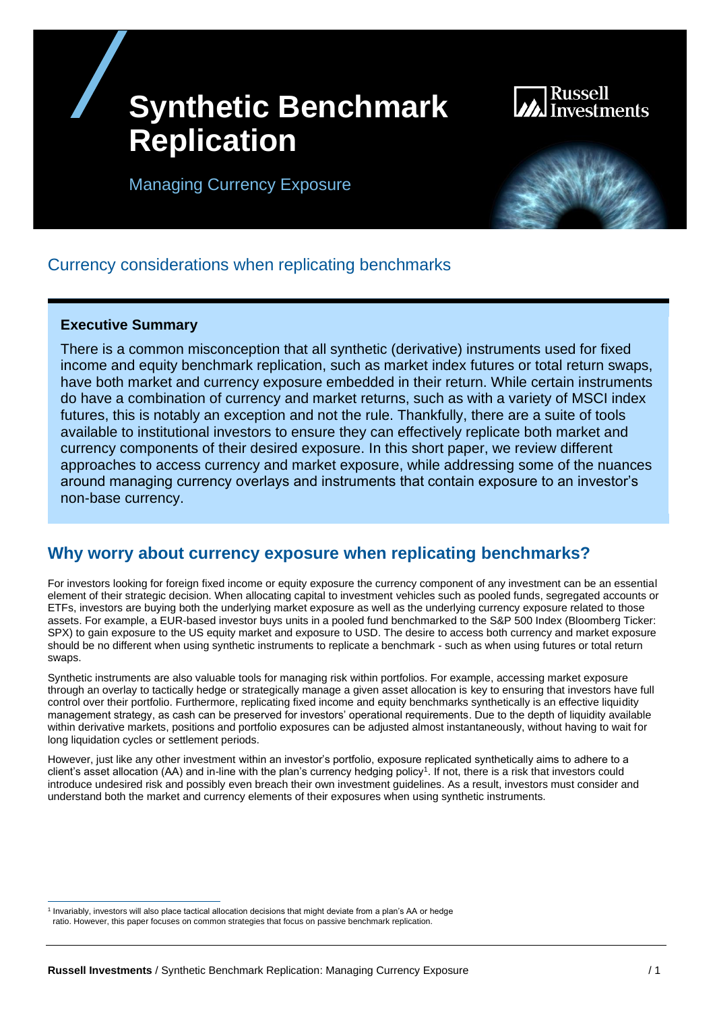## **Synthetic Benchmark Replication**

# vestments

Managing Currency Exposure



## Currency considerations when replicating benchmarks

#### **Executive Summary**

There is a common misconception that all synthetic (derivative) instruments used for fixed income and equity benchmark replication, such as market index futures or total return swaps, have both market and currency exposure embedded in their return. While certain instruments do have a combination of currency and market returns, such as with a variety of MSCI index futures, this is notably an exception and not the rule. Thankfully, there are a suite of tools available to institutional investors to ensure they can effectively replicate both market and currency components of their desired exposure. In this short paper, we review different approaches to access currency and market exposure, while addressing some of the nuances around managing currency overlays and instruments that contain exposure to an investor's non-base currency.

### **Why worry about currency exposure when replicating benchmarks?**

For investors looking for foreign fixed income or equity exposure the currency component of any investment can be an essential element of their strategic decision. When allocating capital to investment vehicles such as pooled funds, segregated accounts or ETFs, investors are buying both the underlying market exposure as well as the underlying currency exposure related to those assets. For example, a EUR-based investor buys units in a pooled fund benchmarked to the S&P 500 Index (Bloomberg Ticker: SPX) to gain exposure to the US equity market and exposure to USD. The desire to access both currency and market exposure should be no different when using synthetic instruments to replicate a benchmark - such as when using futures or total return swaps.

Synthetic instruments are also valuable tools for managing risk within portfolios. For example, accessing market exposure through an overlay to tactically hedge or strategically manage a given asset allocation is key to ensuring that investors have full control over their portfolio. Furthermore, replicating fixed income and equity benchmarks synthetically is an effective liquidity management strategy, as cash can be preserved for investors' operational requirements. Due to the depth of liquidity available within derivative markets, positions and portfolio exposures can be adjusted almost instantaneously, without having to wait for long liquidation cycles or settlement periods.

However, just like any other investment within an investor's portfolio, exposure replicated synthetically aims to adhere to a client's asset allocation (AA) and in-line with the plan's currency hedging policy<sup>1</sup>. If not, there is a risk that investors could introduce undesired risk and possibly even breach their own investment guidelines. As a result, investors must consider and understand both the market and currency elements of their exposures when using synthetic instruments.

<sup>1</sup> Invariably, investors will also place tactical allocation decisions that might deviate from a plan's AA or hedge ratio. However, this paper focuses on common strategies that focus on passive benchmark replication.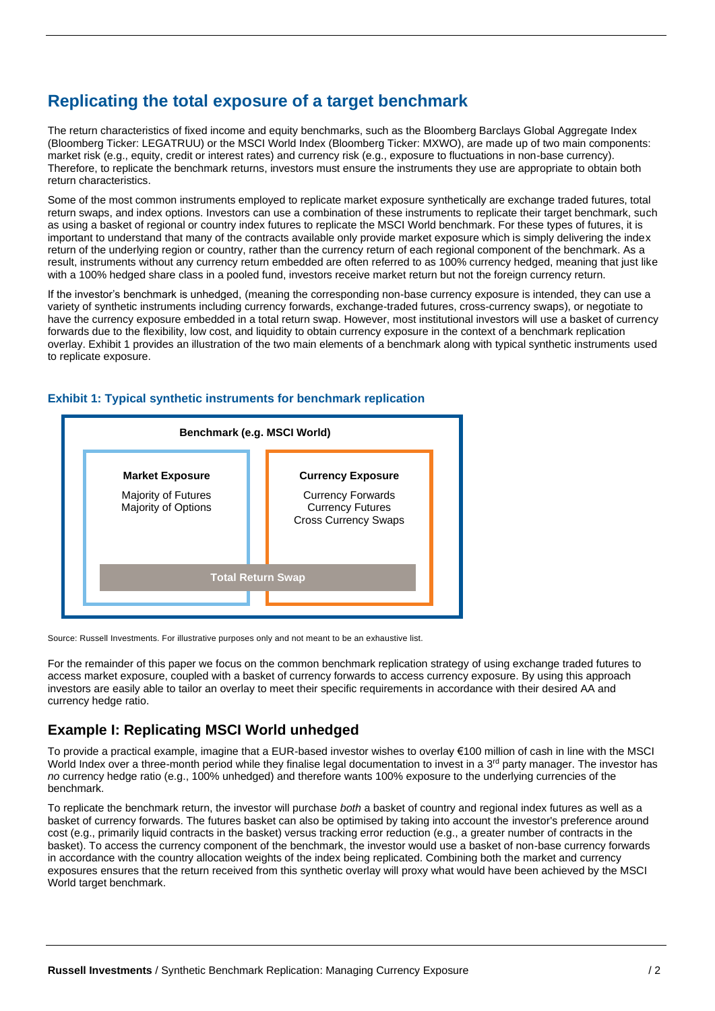## **Replicating the total exposure of a target benchmark**

The return characteristics of fixed income and equity benchmarks, such as the Bloomberg Barclays Global Aggregate Index (Bloomberg Ticker: LEGATRUU) or the MSCI World Index (Bloomberg Ticker: MXWO), are made up of two main components: market risk (e.g., equity, credit or interest rates) and currency risk (e.g., exposure to fluctuations in non-base currency). Therefore, to replicate the benchmark returns, investors must ensure the instruments they use are appropriate to obtain both return characteristics.

Some of the most common instruments employed to replicate market exposure synthetically are exchange traded futures, total return swaps, and index options. Investors can use a combination of these instruments to replicate their target benchmark, such as using a basket of regional or country index futures to replicate the MSCI World benchmark. For these types of futures, it is important to understand that many of the contracts available only provide market exposure which is simply delivering the index return of the underlying region or country, rather than the currency return of each regional component of the benchmark. As a result, instruments without any currency return embedded are often referred to as 100% currency hedged, meaning that just like with a 100% hedged share class in a pooled fund, investors receive market return but not the foreign currency return.

If the investor's benchmark is unhedged, (meaning the corresponding non-base currency exposure is intended, they can use a variety of synthetic instruments including currency forwards, exchange-traded futures, cross-currency swaps), or negotiate to have the currency exposure embedded in a total return swap. However, most institutional investors will use a basket of currency forwards due to the flexibility, low cost, and liquidity to obtain currency exposure in the context of a benchmark replication overlay. Exhibit 1 provides an illustration of the two main elements of a benchmark along with typical synthetic instruments used to replicate exposure.



#### **Exhibit 1: Typical synthetic instruments for benchmark replication**

Source: Russell Investments. For illustrative purposes only and not meant to be an exhaustive list.

For the remainder of this paper we focus on the common benchmark replication strategy of using exchange traded futures to access market exposure, coupled with a basket of currency forwards to access currency exposure. By using this approach investors are easily able to tailor an overlay to meet their specific requirements in accordance with their desired AA and currency hedge ratio.

#### **Example I: Replicating MSCI World unhedged**

To provide a practical example, imagine that a EUR-based investor wishes to overlay €100 million of cash in line with the MSCI World Index over a three-month period while they finalise legal documentation to invest in a  $3<sup>rd</sup>$  party manager. The investor has *no* currency hedge ratio (e.g., 100% unhedged) and therefore wants 100% exposure to the underlying currencies of the benchmark.

To replicate the benchmark return, the investor will purchase *both* a basket of country and regional index futures as well as a basket of currency forwards. The futures basket can also be optimised by taking into account the investor's preference around cost (e.g., primarily liquid contracts in the basket) versus tracking error reduction (e.g., a greater number of contracts in the basket). To access the currency component of the benchmark, the investor would use a basket of non-base currency forwards in accordance with the country allocation weights of the index being replicated. Combining both the market and currency exposures ensures that the return received from this synthetic overlay will proxy what would have been achieved by the MSCI World target benchmark.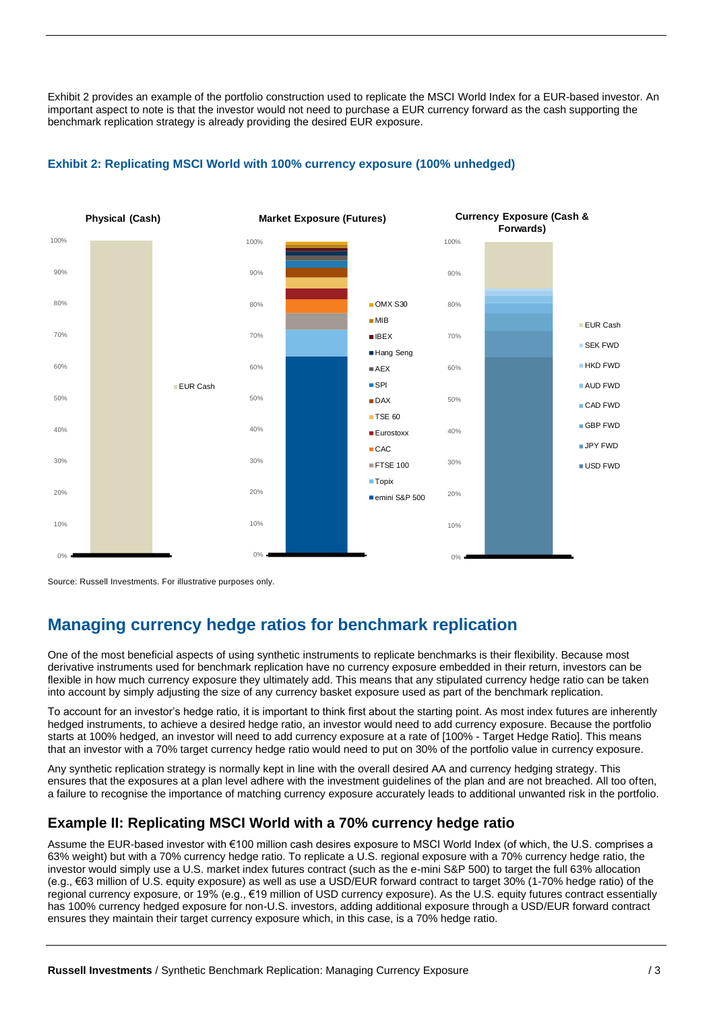Exhibit 2 provides an example of the portfolio construction used to replicate the MSCI World Index for a EUR-based investor. An important aspect to note is that the investor would not need to purchase a EUR currency forward as the cash supporting the benchmark replication strategy is already providing the desired EUR exposure.



#### **Exhibit 2: Replicating MSCI World with 100% currency exposure (100% unhedged)**

Source: Russell Investments. For illustrative purposes only.

## **Managing currency hedge ratios for benchmark replication**

One of the most beneficial aspects of using synthetic instruments to replicate benchmarks is their flexibility. Because most derivative instruments used for benchmark replication have no currency exposure embedded in their return, investors can be flexible in how much currency exposure they ultimately add. This means that any stipulated currency hedge ratio can be taken into account by simply adjusting the size of any currency basket exposure used as part of the benchmark replication.

To account for an investor's hedge ratio, it is important to think first about the starting point. As most index futures are inherently hedged instruments, to achieve a desired hedge ratio, an investor would need to add currency exposure. Because the portfolio starts at 100% hedged, an investor will need to add currency exposure at a rate of [100% - Target Hedge Ratio]. This means that an investor with a 70% target currency hedge ratio would need to put on 30% of the portfolio value in currency exposure.

Any synthetic replication strategy is normally kept in line with the overall desired AA and currency hedging strategy. This ensures that the exposures at a plan level adhere with the investment guidelines of the plan and are not breached. All too often, a failure to recognise the importance of matching currency exposure accurately leads to additional unwanted risk in the portfolio.

#### **Example II: Replicating MSCI World with a 70% currency hedge ratio**

Assume the EUR-based investor with €100 million cash desires exposure to MSCI World Index (of which, the U.S. comprises a 63% weight) but with a 70% currency hedge ratio. To replicate a U.S. regional exposure with a 70% currency hedge ratio, the investor would simply use a U.S. market index futures contract (such as the e-mini S&P 500) to target the full 63% allocation (e.g., €63 million of U.S. equity exposure) as well as use a USD/EUR forward contract to target 30% (1-70% hedge ratio) of the regional currency exposure, or 19% (e.g., €19 million of USD currency exposure). As the U.S. equity futures contract essentially has 100% currency hedged exposure for non-U.S. investors, adding additional exposure through a USD/EUR forward contract ensures they maintain their target currency exposure which, in this case, is a 70% hedge ratio.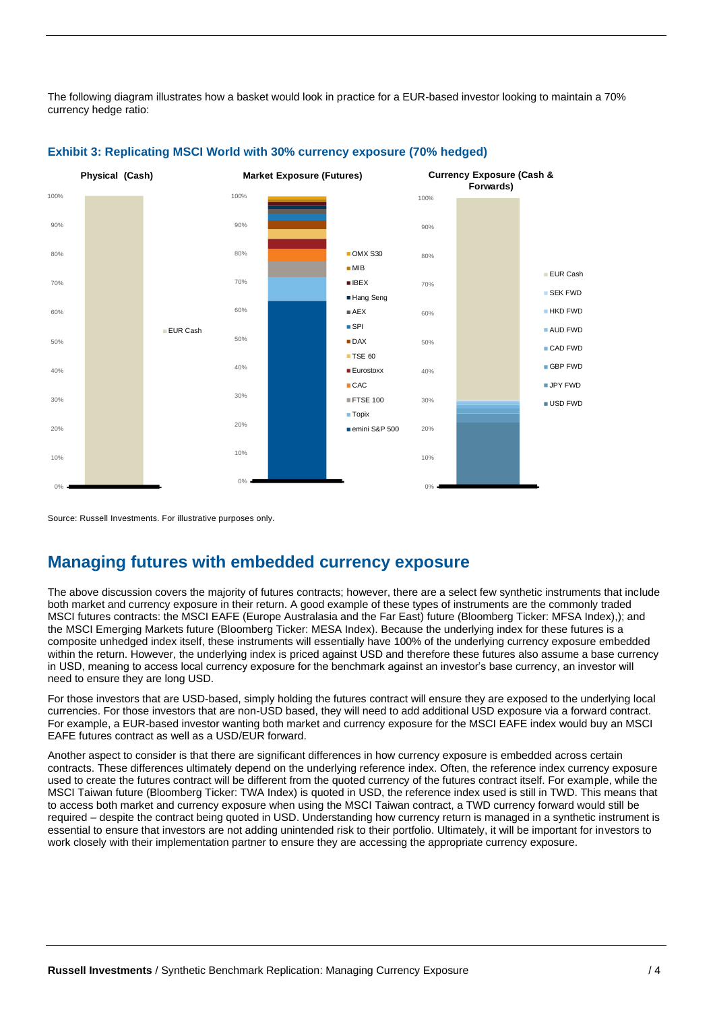The following diagram illustrates how a basket would look in practice for a EUR-based investor looking to maintain a 70% currency hedge ratio:



#### **Exhibit 3: Replicating MSCI World with 30% currency exposure (70% hedged)**

Source: Russell Investments. For illustrative purposes only.

## **Managing futures with embedded currency exposure**

The above discussion covers the majority of futures contracts; however, there are a select few synthetic instruments that include both market and currency exposure in their return. A good example of these types of instruments are the commonly traded MSCI futures contracts: the MSCI EAFE (Europe Australasia and the Far East) future (Bloomberg Ticker: MFSA Index),); and the MSCI Emerging Markets future (Bloomberg Ticker: MESA Index). Because the underlying index for these futures is a composite unhedged index itself, these instruments will essentially have 100% of the underlying currency exposure embedded within the return. However, the underlying index is priced against USD and therefore these futures also assume a base currency in USD, meaning to access local currency exposure for the benchmark against an investor's base currency, an investor will need to ensure they are long USD.

For those investors that are USD-based, simply holding the futures contract will ensure they are exposed to the underlying local currencies. For those investors that are non-USD based, they will need to add additional USD exposure via a forward contract. For example, a EUR-based investor wanting both market and currency exposure for the MSCI EAFE index would buy an MSCI EAFE futures contract as well as a USD/EUR forward.

Another aspect to consider is that there are significant differences in how currency exposure is embedded across certain contracts. These differences ultimately depend on the underlying reference index. Often, the reference index currency exposure used to create the futures contract will be different from the quoted currency of the futures contract itself. For example, while the MSCI Taiwan future (Bloomberg Ticker: TWA Index) is quoted in USD, the reference index used is still in TWD. This means that to access both market and currency exposure when using the MSCI Taiwan contract, a TWD currency forward would still be required – despite the contract being quoted in USD. Understanding how currency return is managed in a synthetic instrument is essential to ensure that investors are not adding unintended risk to their portfolio. Ultimately, it will be important for investors to work closely with their implementation partner to ensure they are accessing the appropriate currency exposure.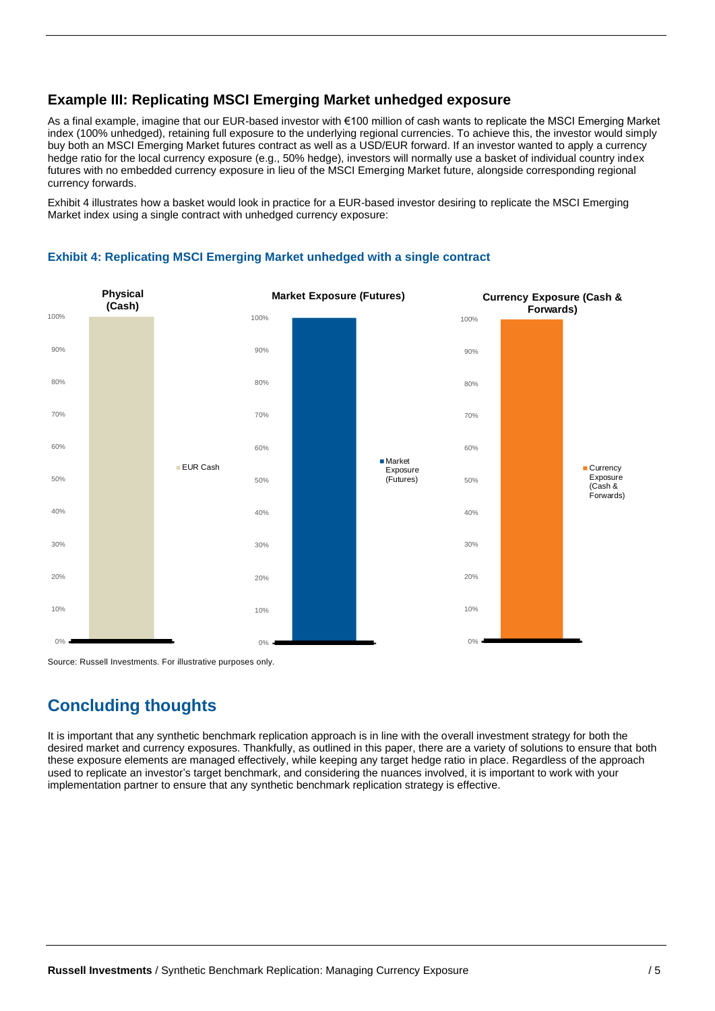#### **Example III: Replicating MSCI Emerging Market unhedged exposure**

As a final example, imagine that our EUR-based investor with €100 million of cash wants to replicate the MSCI Emerging Market index (100% unhedged), retaining full exposure to the underlying regional currencies. To achieve this, the investor would simply buy both an MSCI Emerging Market futures contract as well as a USD/EUR forward. If an investor wanted to apply a currency hedge ratio for the local currency exposure (e.g., 50% hedge), investors will normally use a basket of individual country index futures with no embedded currency exposure in lieu of the MSCI Emerging Market future, alongside corresponding regional currency forwards.

Exhibit 4 illustrates how a basket would look in practice for a EUR-based investor desiring to replicate the MSCI Emerging Market index using a single contract with unhedged currency exposure:



#### **Exhibit 4: Replicating MSCI Emerging Market unhedged with a single contract**

Source: Russell Investments. For illustrative purposes only.

## **Concluding thoughts**

It is important that any synthetic benchmark replication approach is in line with the overall investment strategy for both the desired market and currency exposures. Thankfully, as outlined in this paper, there are a variety of solutions to ensure that both these exposure elements are managed effectively, while keeping any target hedge ratio in place. Regardless of the approach used to replicate an investor's target benchmark, and considering the nuances involved, it is important to work with your implementation partner to ensure that any synthetic benchmark replication strategy is effective.